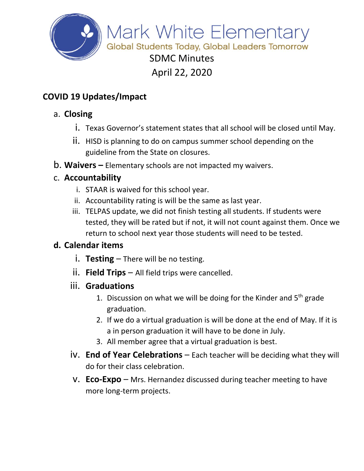

## **COVID 19 Updates/Impact**

### a. **Closing**

- i. Texas Governor's statement states that all school will be closed until May.
- ii. HISD is planning to do on campus summer school depending on the guideline from the State on closures.
- b. **Waivers –** Elementary schools are not impacted my waivers.

#### c. **Accountability**

- i. STAAR is waived for this school year.
- ii. Accountability rating is will be the same as last year.
- iii. TELPAS update, we did not finish testing all students. If students were tested, they will be rated but if not, it will not count against them. Once we return to school next year those students will need to be tested.

### **d. Calendar items**

- i. **Testing** There will be no testing.
- ii. **Field Trips** All field trips were cancelled.
- iii. **Graduations**
	- 1. Discussion on what we will be doing for the Kinder and  $5<sup>th</sup>$  grade graduation.
	- 2. If we do a virtual graduation is will be done at the end of May. If it is a in person graduation it will have to be done in July.
	- 3. All member agree that a virtual graduation is best.
- iv. **End of Year Celebrations** Each teacher will be deciding what they will do for their class celebration.
- v. **Eco-Expo** Mrs. Hernandez discussed during teacher meeting to have more long-term projects.